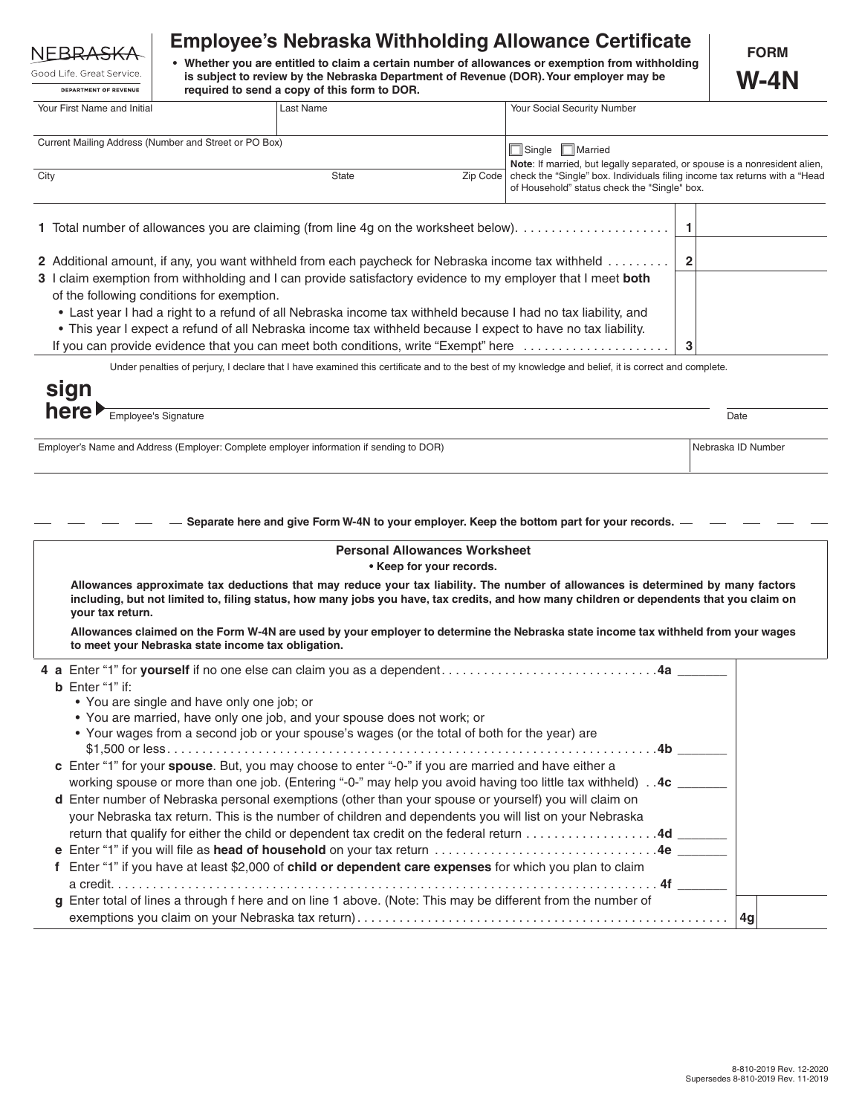## **NEBRASK**

|                              |  |  | Good Life, Great Service, |  |  |  |
|------------------------------|--|--|---------------------------|--|--|--|
| <b>DEPARTMENT OF REVENUE</b> |  |  |                           |  |  |  |

## **Employee's Nebraska Withholding Allowance Certificate**

**• Whether you are entitled to claim a certain number of allowances or exemption from withholding is subject to review by the Nebraska Department of Revenue (DOR). Your employer may be required to send a copy of this form to DOR.**

 $\overline{\phantom{0}}$ 

 $\overline{\phantom{a}}$ 

| Your First Name and Initial                                                                                   | Last Name |  | Your Social Security Number                                                                                                            |  |  |
|---------------------------------------------------------------------------------------------------------------|-----------|--|----------------------------------------------------------------------------------------------------------------------------------------|--|--|
|                                                                                                               |           |  |                                                                                                                                        |  |  |
| Current Mailing Address (Number and Street or PO Box)                                                         |           |  | Single <b>Married</b>                                                                                                                  |  |  |
|                                                                                                               |           |  | Note: If married, but legally separated, or spouse is a nonresident alien,                                                             |  |  |
| City                                                                                                          | State     |  | Zip Code   check the "Single" box. Individuals filing income tax returns with a "Head"<br>of Household" status check the "Single" box. |  |  |
|                                                                                                               |           |  |                                                                                                                                        |  |  |
|                                                                                                               |           |  |                                                                                                                                        |  |  |
|                                                                                                               |           |  |                                                                                                                                        |  |  |
|                                                                                                               |           |  |                                                                                                                                        |  |  |
| 2 Additional amount, if any, you want withheld from each paycheck for Nebraska income tax withheld            |           |  |                                                                                                                                        |  |  |
| 3 I claim exemption from withholding and I can provide satisfactory evidence to my employer that I meet both  |           |  |                                                                                                                                        |  |  |
| of the following conditions for exemption.                                                                    |           |  |                                                                                                                                        |  |  |
| • Last year I had a right to a refund of all Nebraska income tax withheld because I had no tax liability, and |           |  |                                                                                                                                        |  |  |
| • This year I expect a refund of all Nebraska income tax withheld because I expect to have no tax liability.  |           |  |                                                                                                                                        |  |  |
| If you can provide evidence that you can meet both conditions, write "Exempt" here                            | 3         |  |                                                                                                                                        |  |  |

Under penalties of perjury, I declare that I have examined this certificate and to the best of my knowledge and belief, it is correct and complete.

| sign                                |      |
|-------------------------------------|------|
| here<br><b>Employee's Signature</b> | Date |

Employer's Name and Address (Employer: Complete employer information if sending to DOR) Nebraska ID Number

**Separate here and give Form W-4N to your employer. Keep the bottom part for your records.**

| <b>Personal Allowances Worksheet</b><br>• Keep for your records. |                                                                                                                                                                                                                                                                                                  |  |  |  |  |  |
|------------------------------------------------------------------|--------------------------------------------------------------------------------------------------------------------------------------------------------------------------------------------------------------------------------------------------------------------------------------------------|--|--|--|--|--|
|                                                                  | Allowances approximate tax deductions that may reduce your tax liability. The number of allowances is determined by many factors<br>including, but not limited to, filing status, how many jobs you have, tax credits, and how many children or dependents that you claim on<br>your tax return. |  |  |  |  |  |
|                                                                  | Allowances claimed on the Form W-4N are used by your employer to determine the Nebraska state income tax withheld from your wages<br>to meet your Nebraska state income tax obligation.                                                                                                          |  |  |  |  |  |
|                                                                  |                                                                                                                                                                                                                                                                                                  |  |  |  |  |  |
|                                                                  | <b>b</b> Enter "1" if:                                                                                                                                                                                                                                                                           |  |  |  |  |  |
|                                                                  | • You are single and have only one job; or                                                                                                                                                                                                                                                       |  |  |  |  |  |
|                                                                  | • You are married, have only one job, and your spouse does not work; or                                                                                                                                                                                                                          |  |  |  |  |  |
|                                                                  | • Your wages from a second job or your spouse's wages (or the total of both for the year) are                                                                                                                                                                                                    |  |  |  |  |  |
|                                                                  |                                                                                                                                                                                                                                                                                                  |  |  |  |  |  |
|                                                                  | c Enter "1" for your spouse. But, you may choose to enter "-0-" if you are married and have either a                                                                                                                                                                                             |  |  |  |  |  |
|                                                                  | working spouse or more than one job. (Entering "-0-" may help you avoid having too little tax withheld). 4c                                                                                                                                                                                      |  |  |  |  |  |
|                                                                  | d Enter number of Nebraska personal exemptions (other than your spouse or yourself) you will claim on                                                                                                                                                                                            |  |  |  |  |  |
|                                                                  | your Nebraska tax return. This is the number of children and dependents you will list on your Nebraska                                                                                                                                                                                           |  |  |  |  |  |
|                                                                  | return that qualify for either the child or dependent tax credit on the federal return 4d ______                                                                                                                                                                                                 |  |  |  |  |  |
|                                                                  |                                                                                                                                                                                                                                                                                                  |  |  |  |  |  |
|                                                                  | Enter "1" if you have at least \$2,000 of child or dependent care expenses for which you plan to claim                                                                                                                                                                                           |  |  |  |  |  |
|                                                                  |                                                                                                                                                                                                                                                                                                  |  |  |  |  |  |
|                                                                  | g Enter total of lines a through f here and on line 1 above. (Note: This may be different from the number of                                                                                                                                                                                     |  |  |  |  |  |
|                                                                  |                                                                                                                                                                                                                                                                                                  |  |  |  |  |  |